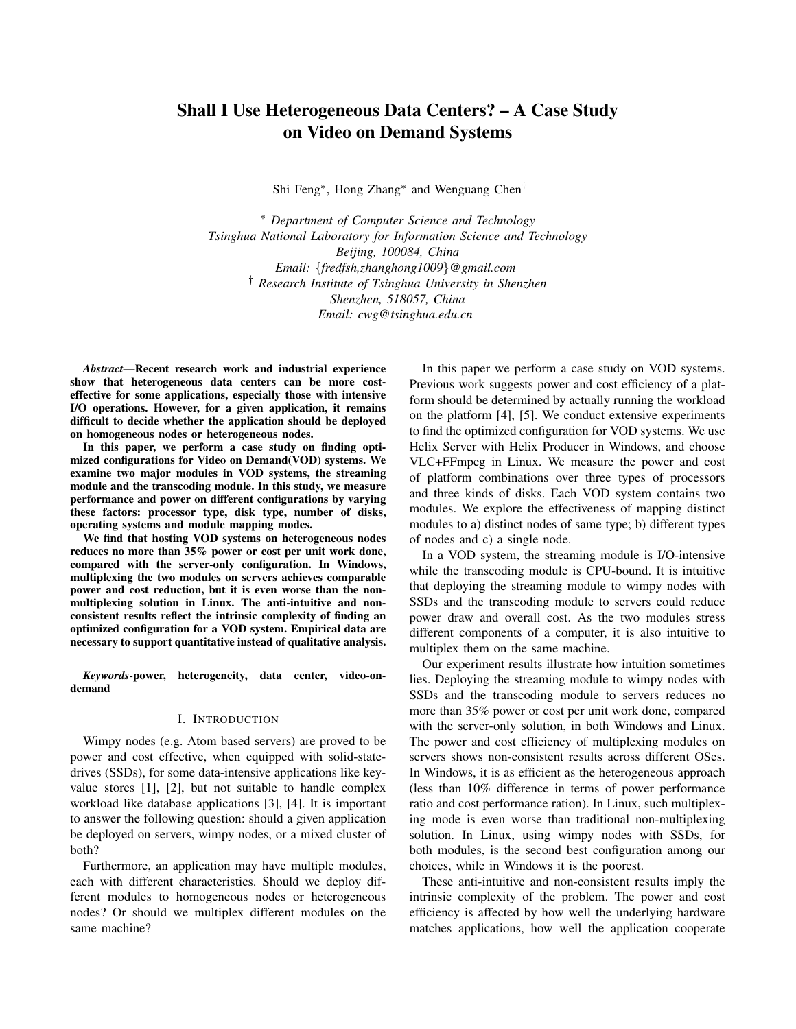# Shall I Use Heterogeneous Data Centers? – A Case Study on Video on Demand Systems

Shi Feng<sup>∗</sup> , Hong Zhang<sup>∗</sup> and Wenguang Chen†

<sup>∗</sup> *Department of Computer Science and Technology Tsinghua National Laboratory for Information Science and Technology Beijing, 100084, China Email:* {*fredfsh,zhanghong1009*}*@gmail.com* † *Research Institute of Tsinghua University in Shenzhen Shenzhen, 518057, China Email: cwg@tsinghua.edu.cn*

*Abstract*—Recent research work and industrial experience show that heterogeneous data centers can be more costeffective for some applications, especially those with intensive I/O operations. However, for a given application, it remains difficult to decide whether the application should be deployed on homogeneous nodes or heterogeneous nodes.

In this paper, we perform a case study on finding optimized configurations for Video on Demand(VOD) systems. We examine two major modules in VOD systems, the streaming module and the transcoding module. In this study, we measure performance and power on different configurations by varying these factors: processor type, disk type, number of disks, operating systems and module mapping modes.

We find that hosting VOD systems on heterogeneous nodes reduces no more than 35% power or cost per unit work done, compared with the server-only configuration. In Windows, multiplexing the two modules on servers achieves comparable power and cost reduction, but it is even worse than the nonmultiplexing solution in Linux. The anti-intuitive and nonconsistent results reflect the intrinsic complexity of finding an optimized configuration for a VOD system. Empirical data are necessary to support quantitative instead of qualitative analysis.

*Keywords*-power, heterogeneity, data center, video-ondemand

#### I. INTRODUCTION

Wimpy nodes (e.g. Atom based servers) are proved to be power and cost effective, when equipped with solid-statedrives (SSDs), for some data-intensive applications like keyvalue stores [1], [2], but not suitable to handle complex workload like database applications [3], [4]. It is important to answer the following question: should a given application be deployed on servers, wimpy nodes, or a mixed cluster of both?

Furthermore, an application may have multiple modules, each with different characteristics. Should we deploy different modules to homogeneous nodes or heterogeneous nodes? Or should we multiplex different modules on the same machine?

In this paper we perform a case study on VOD systems. Previous work suggests power and cost efficiency of a platform should be determined by actually running the workload on the platform [4], [5]. We conduct extensive experiments to find the optimized configuration for VOD systems. We use Helix Server with Helix Producer in Windows, and choose VLC+FFmpeg in Linux. We measure the power and cost of platform combinations over three types of processors and three kinds of disks. Each VOD system contains two modules. We explore the effectiveness of mapping distinct modules to a) distinct nodes of same type; b) different types of nodes and c) a single node.

In a VOD system, the streaming module is I/O-intensive while the transcoding module is CPU-bound. It is intuitive that deploying the streaming module to wimpy nodes with SSDs and the transcoding module to servers could reduce power draw and overall cost. As the two modules stress different components of a computer, it is also intuitive to multiplex them on the same machine.

Our experiment results illustrate how intuition sometimes lies. Deploying the streaming module to wimpy nodes with SSDs and the transcoding module to servers reduces no more than 35% power or cost per unit work done, compared with the server-only solution, in both Windows and Linux. The power and cost efficiency of multiplexing modules on servers shows non-consistent results across different OSes. In Windows, it is as efficient as the heterogeneous approach (less than 10% difference in terms of power performance ratio and cost performance ration). In Linux, such multiplexing mode is even worse than traditional non-multiplexing solution. In Linux, using wimpy nodes with SSDs, for both modules, is the second best configuration among our choices, while in Windows it is the poorest.

These anti-intuitive and non-consistent results imply the intrinsic complexity of the problem. The power and cost efficiency is affected by how well the underlying hardware matches applications, how well the application cooperate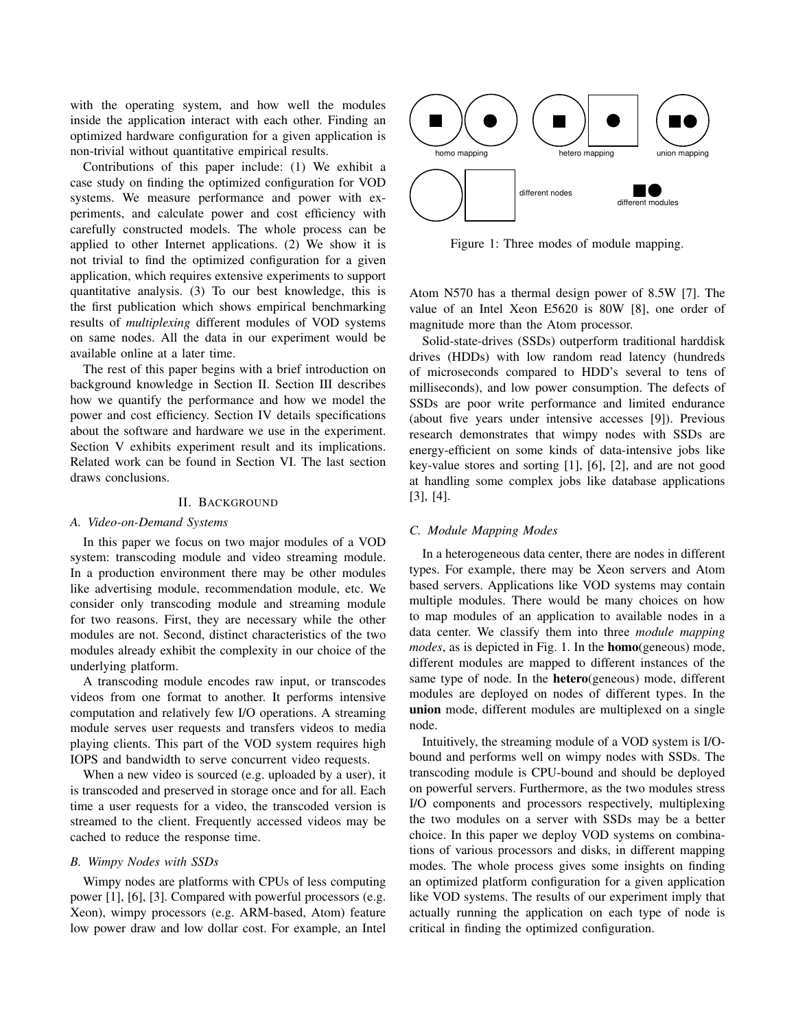with the operating system, and how well the modules inside the application interact with each other. Finding an optimized hardware configuration for a given application is non-trivial without quantitative empirical results.

Contributions of this paper include: (1) We exhibit a case study on finding the optimized configuration for VOD systems. We measure performance and power with experiments, and calculate power and cost efficiency with carefully constructed models. The whole process can be applied to other Internet applications. (2) We show it is not trivial to find the optimized configuration for a given application, which requires extensive experiments to support quantitative analysis. (3) To our best knowledge, this is the first publication which shows empirical benchmarking results of *multiplexing* different modules of VOD systems on same nodes. All the data in our experiment would be available online at a later time.

The rest of this paper begins with a brief introduction on background knowledge in Section II. Section III describes how we quantify the performance and how we model the power and cost efficiency. Section IV details specifications about the software and hardware we use in the experiment. Section V exhibits experiment result and its implications. Related work can be found in Section VI. The last section draws conclusions.

#### II. BACKGROUND

### *A. Video-on-Demand Systems*

In this paper we focus on two major modules of a VOD system: transcoding module and video streaming module. In a production environment there may be other modules like advertising module, recommendation module, etc. We consider only transcoding module and streaming module for two reasons. First, they are necessary while the other modules are not. Second, distinct characteristics of the two modules already exhibit the complexity in our choice of the underlying platform.

A transcoding module encodes raw input, or transcodes videos from one format to another. It performs intensive computation and relatively few I/O operations. A streaming module serves user requests and transfers videos to media playing clients. This part of the VOD system requires high IOPS and bandwidth to serve concurrent video requests.

When a new video is sourced (e.g. uploaded by a user), it is transcoded and preserved in storage once and for all. Each time a user requests for a video, the transcoded version is streamed to the client. Frequently accessed videos may be cached to reduce the response time.

## *B. Wimpy Nodes with SSDs*

Wimpy nodes are platforms with CPUs of less computing power [1], [6], [3]. Compared with powerful processors (e.g. Xeon), wimpy processors (e.g. ARM-based, Atom) feature low power draw and low dollar cost. For example, an Intel



Figure 1: Three modes of module mapping.

Atom N570 has a thermal design power of 8.5W [7]. The value of an Intel Xeon E5620 is 80W [8], one order of magnitude more than the Atom processor.

Solid-state-drives (SSDs) outperform traditional harddisk drives (HDDs) with low random read latency (hundreds of microseconds compared to HDD's several to tens of milliseconds), and low power consumption. The defects of SSDs are poor write performance and limited endurance (about five years under intensive accesses [9]). Previous research demonstrates that wimpy nodes with SSDs are energy-efficient on some kinds of data-intensive jobs like key-value stores and sorting [1], [6], [2], and are not good at handling some complex jobs like database applications [3], [4].

## *C. Module Mapping Modes*

In a heterogeneous data center, there are nodes in different types. For example, there may be Xeon servers and Atom based servers. Applications like VOD systems may contain multiple modules. There would be many choices on how to map modules of an application to available nodes in a data center. We classify them into three *module mapping modes*, as is depicted in Fig. 1. In the homo(geneous) mode, different modules are mapped to different instances of the same type of node. In the hetero(geneous) mode, different modules are deployed on nodes of different types. In the union mode, different modules are multiplexed on a single node.

Intuitively, the streaming module of a VOD system is I/Obound and performs well on wimpy nodes with SSDs. The transcoding module is CPU-bound and should be deployed on powerful servers. Furthermore, as the two modules stress I/O components and processors respectively, multiplexing the two modules on a server with SSDs may be a better choice. In this paper we deploy VOD systems on combinations of various processors and disks, in different mapping modes. The whole process gives some insights on finding an optimized platform configuration for a given application like VOD systems. The results of our experiment imply that actually running the application on each type of node is critical in finding the optimized configuration.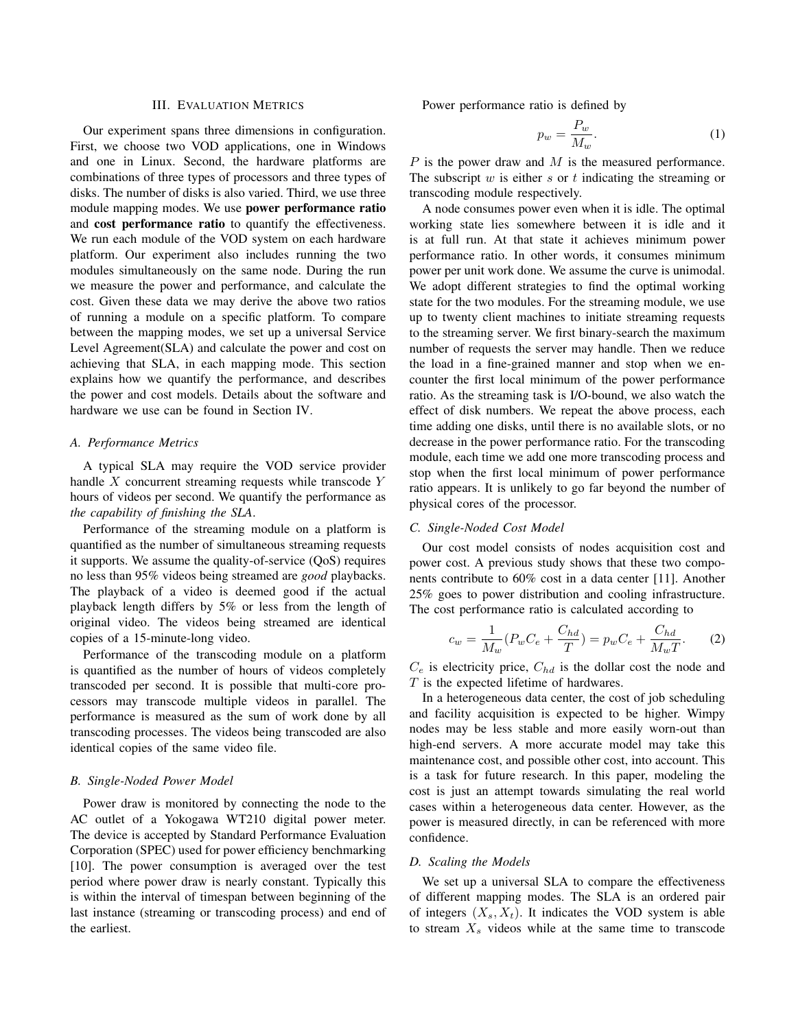#### III. EVALUATION METRICS

Our experiment spans three dimensions in configuration. First, we choose two VOD applications, one in Windows and one in Linux. Second, the hardware platforms are combinations of three types of processors and three types of disks. The number of disks is also varied. Third, we use three module mapping modes. We use power performance ratio and cost performance ratio to quantify the effectiveness. We run each module of the VOD system on each hardware platform. Our experiment also includes running the two modules simultaneously on the same node. During the run we measure the power and performance, and calculate the cost. Given these data we may derive the above two ratios of running a module on a specific platform. To compare between the mapping modes, we set up a universal Service Level Agreement(SLA) and calculate the power and cost on achieving that SLA, in each mapping mode. This section explains how we quantify the performance, and describes the power and cost models. Details about the software and hardware we use can be found in Section IV.

## *A. Performance Metrics*

A typical SLA may require the VOD service provider handle X concurrent streaming requests while transcode Y hours of videos per second. We quantify the performance as *the capability of finishing the SLA*.

Performance of the streaming module on a platform is quantified as the number of simultaneous streaming requests it supports. We assume the quality-of-service (QoS) requires no less than 95% videos being streamed are *good* playbacks. The playback of a video is deemed good if the actual playback length differs by 5% or less from the length of original video. The videos being streamed are identical copies of a 15-minute-long video.

Performance of the transcoding module on a platform is quantified as the number of hours of videos completely transcoded per second. It is possible that multi-core processors may transcode multiple videos in parallel. The performance is measured as the sum of work done by all transcoding processes. The videos being transcoded are also identical copies of the same video file.

## *B. Single-Noded Power Model*

Power draw is monitored by connecting the node to the AC outlet of a Yokogawa WT210 digital power meter. The device is accepted by Standard Performance Evaluation Corporation (SPEC) used for power efficiency benchmarking [10]. The power consumption is averaged over the test period where power draw is nearly constant. Typically this is within the interval of timespan between beginning of the last instance (streaming or transcoding process) and end of the earliest.

Power performance ratio is defined by

$$
p_w = \frac{P_w}{M_w}.\tag{1}
$$

 $P$  is the power draw and  $M$  is the measured performance. The subscript  $w$  is either  $s$  or  $t$  indicating the streaming or transcoding module respectively.

A node consumes power even when it is idle. The optimal working state lies somewhere between it is idle and it is at full run. At that state it achieves minimum power performance ratio. In other words, it consumes minimum power per unit work done. We assume the curve is unimodal. We adopt different strategies to find the optimal working state for the two modules. For the streaming module, we use up to twenty client machines to initiate streaming requests to the streaming server. We first binary-search the maximum number of requests the server may handle. Then we reduce the load in a fine-grained manner and stop when we encounter the first local minimum of the power performance ratio. As the streaming task is I/O-bound, we also watch the effect of disk numbers. We repeat the above process, each time adding one disks, until there is no available slots, or no decrease in the power performance ratio. For the transcoding module, each time we add one more transcoding process and stop when the first local minimum of power performance ratio appears. It is unlikely to go far beyond the number of physical cores of the processor.

#### *C. Single-Noded Cost Model*

Our cost model consists of nodes acquisition cost and power cost. A previous study shows that these two components contribute to 60% cost in a data center [11]. Another 25% goes to power distribution and cooling infrastructure. The cost performance ratio is calculated according to

$$
c_w = \frac{1}{M_w} (P_w C_e + \frac{C_{hd}}{T}) = p_w C_e + \frac{C_{hd}}{M_w T}.
$$
 (2)

 $C_e$  is electricity price,  $C_{hd}$  is the dollar cost the node and T is the expected lifetime of hardwares.

In a heterogeneous data center, the cost of job scheduling and facility acquisition is expected to be higher. Wimpy nodes may be less stable and more easily worn-out than high-end servers. A more accurate model may take this maintenance cost, and possible other cost, into account. This is a task for future research. In this paper, modeling the cost is just an attempt towards simulating the real world cases within a heterogeneous data center. However, as the power is measured directly, in can be referenced with more confidence.

## *D. Scaling the Models*

We set up a universal SLA to compare the effectiveness of different mapping modes. The SLA is an ordered pair of integers  $(X_s, X_t)$ . It indicates the VOD system is able to stream  $X_s$  videos while at the same time to transcode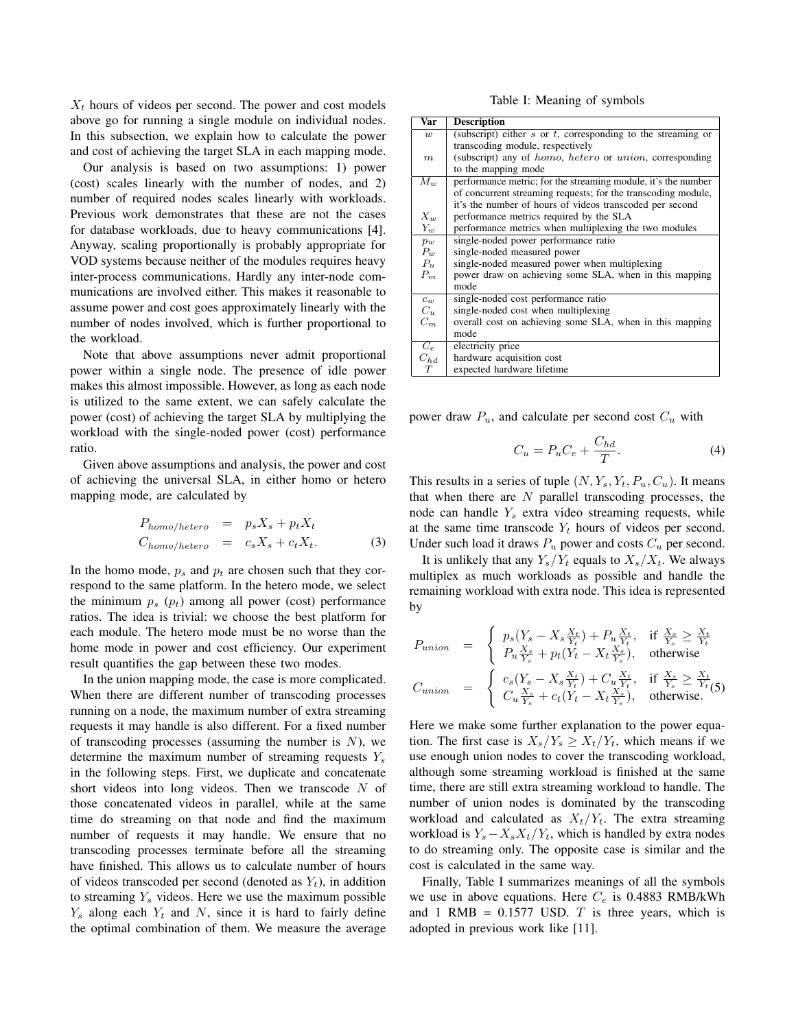$X_t$  hours of videos per second. The power and cost models above go for running a single module on individual nodes. In this subsection, we explain how to calculate the power and cost of achieving the target SLA in each mapping mode.

Our analysis is based on two assumptions: 1) power (cost) scales linearly with the number of nodes, and 2) number of required nodes scales linearly with workloads. Previous work demonstrates that these are not the cases for database workloads, due to heavy communications [4]. Anyway, scaling proportionally is probably appropriate for VOD systems because neither of the modules requires heavy inter-process communications. Hardly any inter-node communications are involved either. This makes it reasonable to assume power and cost goes approximately linearly with the number of nodes involved, which is further proportional to the workload.

Note that above assumptions never admit proportional power within a single node. The presence of idle power makes this almost impossible. However, as long as each node is utilized to the same extent, we can safely calculate the power (cost) of achieving the target SLA by multiplying the workload with the single-noded power (cost) performance ratio.

Given above assumptions and analysis, the power and cost of achieving the universal SLA, in either homo or hetero mapping mode, are calculated by

$$
P_{homol/hetero} = p_s X_s + p_t X_t
$$
  
\n
$$
C_{homol/hetero} = c_s X_s + c_t X_t.
$$
 (3)

In the homo mode,  $p_s$  and  $p_t$  are chosen such that they correspond to the same platform. In the hetero mode, we select the minimum  $p_s$  ( $p_t$ ) among all power (cost) performance ratios. The idea is trivial: we choose the best platform for each module. The hetero mode must be no worse than the home mode in power and cost efficiency. Our experiment result quantifies the gap between these two modes.

In the union mapping mode, the case is more complicated. When there are different number of transcoding processes running on a node, the maximum number of extra streaming requests it may handle is also different. For a fixed number of transcoding processes (assuming the number is  $N$ ), we determine the maximum number of streaming requests  $Y_s$ in the following steps. First, we duplicate and concatenate short videos into long videos. Then we transcode  $N$  of those concatenated videos in parallel, while at the same time do streaming on that node and find the maximum number of requests it may handle. We ensure that no transcoding processes terminate before all the streaming have finished. This allows us to calculate number of hours of videos transcoded per second (denoted as  $Y_t$ ), in addition to streaming  $Y_s$  videos. Here we use the maximum possible  $Y_s$  along each  $Y_t$  and N, since it is hard to fairly define the optimal combination of them. We measure the average

Table I: Meaning of symbols

| Var              | <b>Description</b>                                                             |  |  |  |
|------------------|--------------------------------------------------------------------------------|--|--|--|
| $\boldsymbol{w}$ | (subscript) either $s$ or $t$ , corresponding to the streaming or              |  |  |  |
|                  | transcoding module, respectively                                               |  |  |  |
| $\boldsymbol{m}$ | (subscript) any of <i>homo</i> , <i>hetero</i> or <i>union</i> , corresponding |  |  |  |
|                  | to the mapping mode                                                            |  |  |  |
| $M_w$            | performance metric; for the streaming module, it's the number                  |  |  |  |
|                  | of concurrent streaming requests; for the transcoding module,                  |  |  |  |
|                  | it's the number of hours of videos transcoded per second                       |  |  |  |
| $X_w$            | performance metrics required by the SLA                                        |  |  |  |
| $Y_w$            | performance metrics when multiplexing the two modules                          |  |  |  |
| $p_w$            | single-noded power performance ratio                                           |  |  |  |
| $P_w$            | single-noded measured power                                                    |  |  |  |
| $P_u$            | single-noded measured power when multiplexing                                  |  |  |  |
| $P_m$            | power draw on achieving some SLA, when in this mapping                         |  |  |  |
|                  | mode                                                                           |  |  |  |
| $c_w$            | single-noded cost performance ratio                                            |  |  |  |
| $C_u$            | single-noded cost when multiplexing                                            |  |  |  |
| $C_m$            | overall cost on achieving some SLA, when in this mapping                       |  |  |  |
|                  | mode                                                                           |  |  |  |
| $C_e$            | electricity price                                                              |  |  |  |
| $C_{hd}$         | hardware acquisition cost                                                      |  |  |  |
| T                | expected hardware lifetime                                                     |  |  |  |

power draw  $P_u$ , and calculate per second cost  $C_u$  with

$$
C_u = P_u C_e + \frac{C_{hd}}{T}.
$$
\n(4)

This results in a series of tuple  $(N, Y_s, Y_t, P_u, C_u)$ . It means that when there are  $N$  parallel transcoding processes, the node can handle  $Y_s$  extra video streaming requests, while at the same time transcode  $Y_t$  hours of videos per second. Under such load it draws  $P_u$  power and costs  $C_u$  per second.

It is unlikely that any  $Y_s/Y_t$  equals to  $X_s/X_t$ . We always multiplex as much workloads as possible and handle the remaining workload with extra node. This idea is represented by

$$
P_{union} = \begin{cases} p_s(Y_s - X_s \frac{X_t}{Y_t}) + P_u \frac{X_t}{Y_t}, & \text{if } \frac{X_s}{Y_s} \ge \frac{X_t}{Y_t} \\ P_u \frac{X_s}{Y_s} + p_t(Y_t - X_t \frac{X_s}{Y_s}), & \text{otherwise} \end{cases}
$$
  

$$
C_{union} = \begin{cases} c_s(Y_s - X_s \frac{X_t}{Y_t}) + C_u \frac{X_t}{Y_t}, & \text{if } \frac{X_s}{Y_s} \ge \frac{X_t}{Y_t}(5) \\ C_u \frac{X_s}{Y_s} + c_t(Y_t - X_t \frac{X_s}{Y_s}), & \text{otherwise.} \end{cases}
$$

Here we make some further explanation to the power equation. The first case is  $X_s/Y_s \ge X_t/Y_t$ , which means if we use enough union nodes to cover the transcoding workload, although some streaming workload is finished at the same time, there are still extra streaming workload to handle. The number of union nodes is dominated by the transcoding workload and calculated as  $X_t/Y_t$ . The extra streaming workload is  $Y_s - X_s X_t/Y_t$ , which is handled by extra nodes to do streaming only. The opposite case is similar and the cost is calculated in the same way.

Finally, Table I summarizes meanings of all the symbols we use in above equations. Here  $C_e$  is 0.4883 RMB/kWh and 1 RMB =  $0.1577$  USD. T is three years, which is adopted in previous work like [11].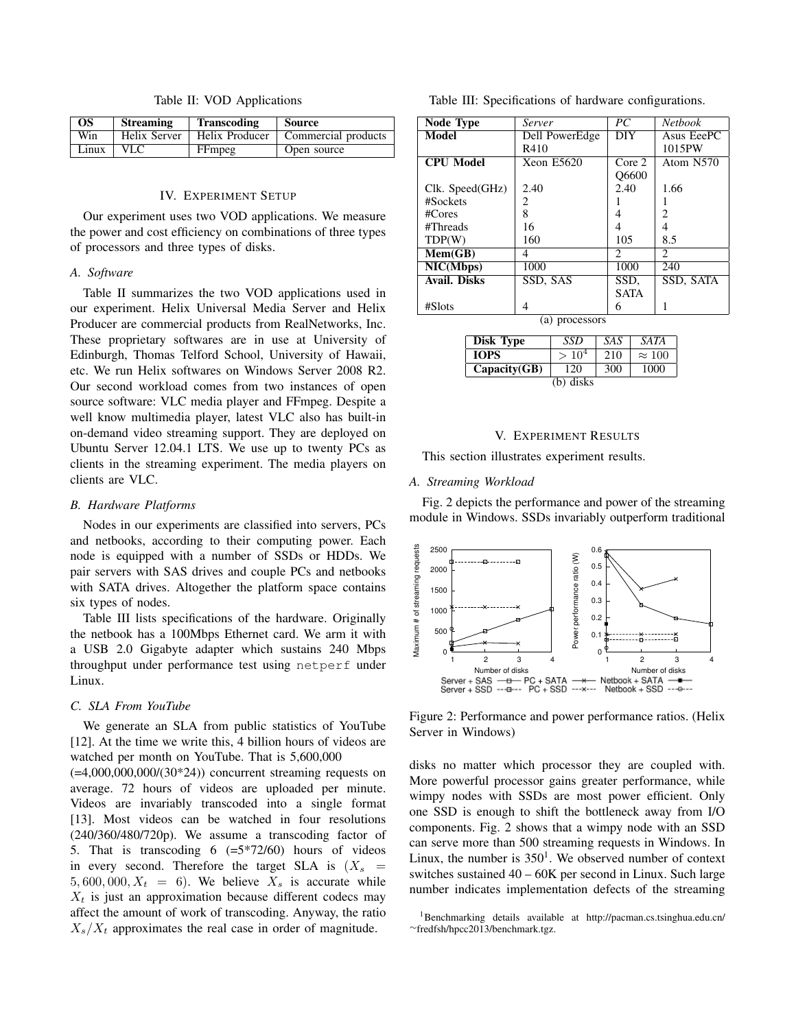Table II: VOD Applications

| $\overline{\phantom{a}}$ OS | <b>Streaming</b> | <b>Transcoding</b> | Source                                              |
|-----------------------------|------------------|--------------------|-----------------------------------------------------|
| Win                         |                  |                    | Helix Server   Helix Producer   Commercial products |
| Linux                       | VLC              | FFmpeg             | Open source                                         |

### IV. EXPERIMENT SETUP

Our experiment uses two VOD applications. We measure the power and cost efficiency on combinations of three types of processors and three types of disks.

#### *A. Software*

Table II summarizes the two VOD applications used in our experiment. Helix Universal Media Server and Helix Producer are commercial products from RealNetworks, Inc. These proprietary softwares are in use at University of Edinburgh, Thomas Telford School, University of Hawaii, etc. We run Helix softwares on Windows Server 2008 R2. Our second workload comes from two instances of open source software: VLC media player and FFmpeg. Despite a well know multimedia player, latest VLC also has built-in on-demand video streaming support. They are deployed on Ubuntu Server 12.04.1 LTS. We use up to twenty PCs as clients in the streaming experiment. The media players on clients are VLC.

## *B. Hardware Platforms*

Nodes in our experiments are classified into servers, PCs and netbooks, according to their computing power. Each node is equipped with a number of SSDs or HDDs. We pair servers with SAS drives and couple PCs and netbooks with SATA drives. Altogether the platform space contains six types of nodes.

Table III lists specifications of the hardware. Originally the netbook has a 100Mbps Ethernet card. We arm it with a USB 2.0 Gigabyte adapter which sustains 240 Mbps throughput under performance test using netperf under Linux.

## *C. SLA From YouTube*

We generate an SLA from public statistics of YouTube [12]. At the time we write this, 4 billion hours of videos are watched per month on YouTube. That is 5,600,000

 $(=4,000,000,000/(30*24))$  concurrent streaming requests on average. 72 hours of videos are uploaded per minute. Videos are invariably transcoded into a single format [13]. Most videos can be watched in four resolutions (240/360/480/720p). We assume a transcoding factor of 5. That is transcoding  $6$  (=5\*72/60) hours of videos in every second. Therefore the target SLA is  $(X_s =$ 5, 600, 000,  $X_t = 6$ ). We believe  $X_s$  is accurate while  $X_t$  is just an approximation because different codecs may affect the amount of work of transcoding. Anyway, the ratio  $X_s/X_t$  approximates the real case in order of magnitude.

Table III: Specifications of hardware configurations.

| <b>Node Type</b>    | Server                                                                | PC             | <b>Netbook</b>   |
|---------------------|-----------------------------------------------------------------------|----------------|------------------|
| Model               | Dell PowerEdge                                                        | <b>DIY</b>     | Asus EeePC       |
|                     | R410                                                                  |                | 1015PW           |
| <b>CPU Model</b>    | Xeon E5620                                                            | Core 2         | Atom N570        |
|                     |                                                                       | O6600          |                  |
| Clk. Speed(GHz)     | 2.40                                                                  | 2.40           | 1.66             |
| #Sockets            | 2                                                                     |                |                  |
| $\#Cores$           | 8                                                                     |                | 2                |
| #Threads            | 16                                                                    | 4              | $\overline{4}$   |
| TDP(W)              | 160                                                                   | 105            | 8.5              |
| Mem(GB)             | 4                                                                     | $\mathfrak{D}$ | $\mathfrak{D}$   |
| NIC(Mbps)           | 1000                                                                  | 1000           | $\overline{240}$ |
| <b>Avail. Disks</b> | SSD, SAS                                                              | SSD.           | SSD, SATA        |
|                     |                                                                       | <b>SATA</b>    |                  |
| #Slots              | 4<br>$\left(\begin{array}{ccc} -1 & -1 \\ -1 & -1 \end{array}\right)$ | 6              |                  |

(a) processors

| Disk Type    | SSD      | SAS | <b>SATA</b>   |  |  |  |
|--------------|----------|-----|---------------|--|--|--|
| <b>TOPS</b>  | $> 10^4$ | 210 | $\approx 100$ |  |  |  |
| Capacity(GB) | 120      | 300 | 1000          |  |  |  |
| (b) disks    |          |     |               |  |  |  |

#### V. EXPERIMENT RESULTS

This section illustrates experiment results.

#### *A. Streaming Workload*

Fig. 2 depicts the performance and power of the streaming module in Windows. SSDs invariably outperform traditional



Figure 2: Performance and power performance ratios. (Helix Server in Windows)

disks no matter which processor they are coupled with. More powerful processor gains greater performance, while wimpy nodes with SSDs are most power efficient. Only one SSD is enough to shift the bottleneck away from I/O components. Fig. 2 shows that a wimpy node with an SSD can serve more than 500 streaming requests in Windows. In Linux, the number is  $350<sup>1</sup>$ . We observed number of context switches sustained 40 – 60K per second in Linux. Such large number indicates implementation defects of the streaming

<sup>1</sup>Benchmarking details available at http://pacman.cs.tsinghua.edu.cn/ ∼fredfsh/hpcc2013/benchmark.tgz.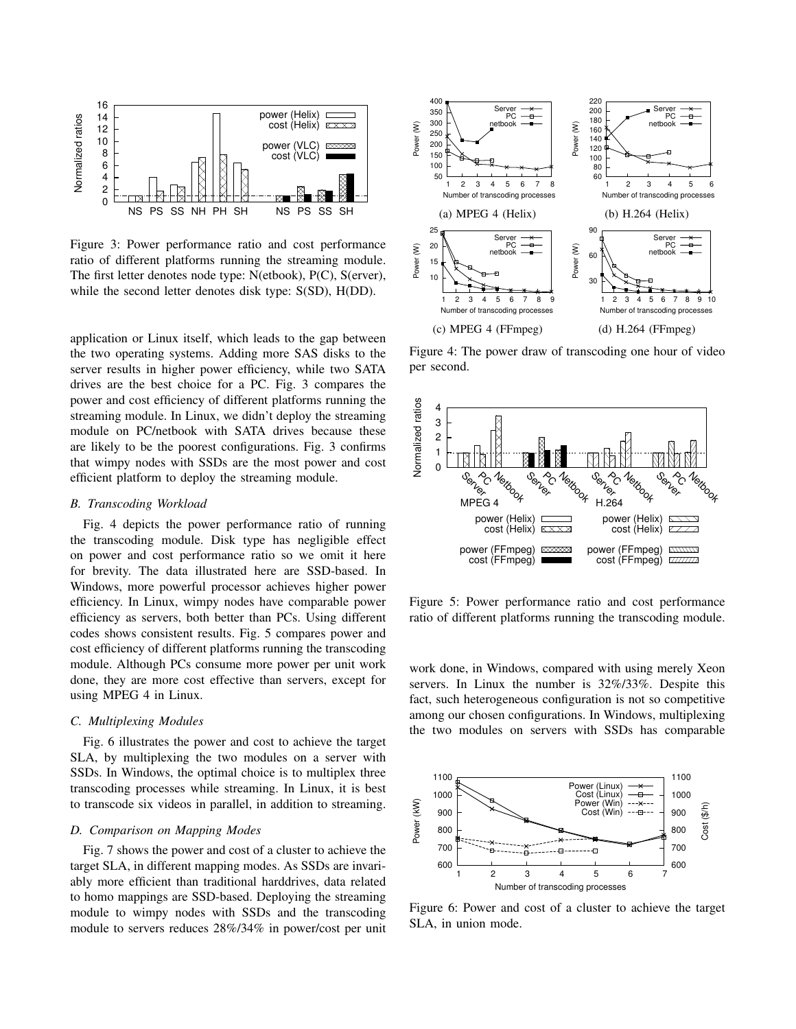

Figure 3: Power performance ratio and cost performance ratio of different platforms running the streaming module. The first letter denotes node type: N(etbook), P(C), S(erver), while the second letter denotes disk type: S(SD), H(DD).

application or Linux itself, which leads to the gap between the two operating systems. Adding more SAS disks to the server results in higher power efficiency, while two SATA drives are the best choice for a PC. Fig. 3 compares the power and cost efficiency of different platforms running the streaming module. In Linux, we didn't deploy the streaming module on PC/netbook with SATA drives because these are likely to be the poorest configurations. Fig. 3 confirms that wimpy nodes with SSDs are the most power and cost efficient platform to deploy the streaming module.

### *B. Transcoding Workload*

Fig. 4 depicts the power performance ratio of running the transcoding module. Disk type has negligible effect on power and cost performance ratio so we omit it here for brevity. The data illustrated here are SSD-based. In Windows, more powerful processor achieves higher power efficiency. In Linux, wimpy nodes have comparable power efficiency as servers, both better than PCs. Using different codes shows consistent results. Fig. 5 compares power and cost efficiency of different platforms running the transcoding module. Although PCs consume more power per unit work done, they are more cost effective than servers, except for using MPEG 4 in Linux.

## *C. Multiplexing Modules*

Fig. 6 illustrates the power and cost to achieve the target SLA, by multiplexing the two modules on a server with SSDs. In Windows, the optimal choice is to multiplex three transcoding processes while streaming. In Linux, it is best to transcode six videos in parallel, in addition to streaming.

## *D. Comparison on Mapping Modes*

Fig. 7 shows the power and cost of a cluster to achieve the target SLA, in different mapping modes. As SSDs are invariably more efficient than traditional harddrives, data related to homo mappings are SSD-based. Deploying the streaming module to wimpy nodes with SSDs and the transcoding module to servers reduces 28%/34% in power/cost per unit



Figure 4: The power draw of transcoding one hour of video per second.



Figure 5: Power performance ratio and cost performance ratio of different platforms running the transcoding module.

work done, in Windows, compared with using merely Xeon servers. In Linux the number is 32%/33%. Despite this fact, such heterogeneous configuration is not so competitive among our chosen configurations. In Windows, multiplexing the two modules on servers with SSDs has comparable



Figure 6: Power and cost of a cluster to achieve the target SLA, in union mode.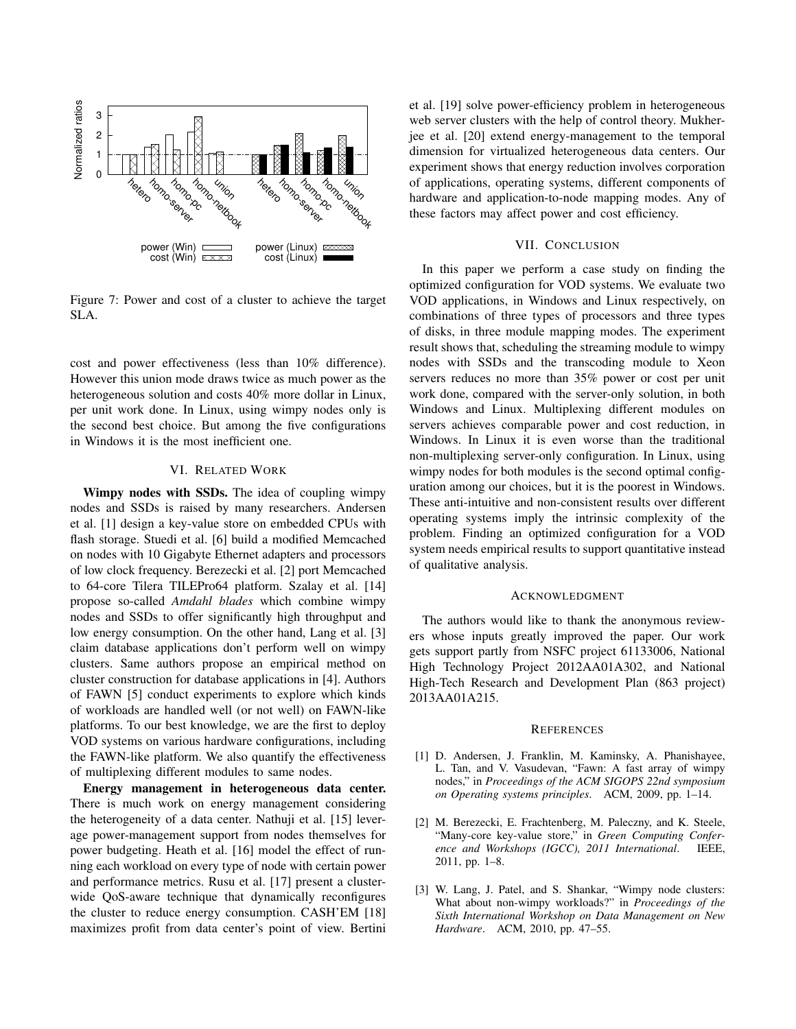

Figure 7: Power and cost of a cluster to achieve the target SLA.

cost and power effectiveness (less than 10% difference). However this union mode draws twice as much power as the heterogeneous solution and costs 40% more dollar in Linux, per unit work done. In Linux, using wimpy nodes only is the second best choice. But among the five configurations in Windows it is the most inefficient one.

## VI. RELATED WORK

Wimpy nodes with SSDs. The idea of coupling wimpy nodes and SSDs is raised by many researchers. Andersen et al. [1] design a key-value store on embedded CPUs with flash storage. Stuedi et al. [6] build a modified Memcached on nodes with 10 Gigabyte Ethernet adapters and processors of low clock frequency. Berezecki et al. [2] port Memcached to 64-core Tilera TILEPro64 platform. Szalay et al. [14] propose so-called *Amdahl blades* which combine wimpy nodes and SSDs to offer significantly high throughput and low energy consumption. On the other hand, Lang et al. [3] claim database applications don't perform well on wimpy clusters. Same authors propose an empirical method on cluster construction for database applications in [4]. Authors of FAWN [5] conduct experiments to explore which kinds of workloads are handled well (or not well) on FAWN-like platforms. To our best knowledge, we are the first to deploy VOD systems on various hardware configurations, including the FAWN-like platform. We also quantify the effectiveness of multiplexing different modules to same nodes.

Energy management in heterogeneous data center. There is much work on energy management considering the heterogeneity of a data center. Nathuji et al. [15] leverage power-management support from nodes themselves for power budgeting. Heath et al. [16] model the effect of running each workload on every type of node with certain power and performance metrics. Rusu et al. [17] present a clusterwide QoS-aware technique that dynamically reconfigures the cluster to reduce energy consumption. CASH'EM [18] maximizes profit from data center's point of view. Bertini et al. [19] solve power-efficiency problem in heterogeneous web server clusters with the help of control theory. Mukherjee et al. [20] extend energy-management to the temporal dimension for virtualized heterogeneous data centers. Our experiment shows that energy reduction involves corporation of applications, operating systems, different components of hardware and application-to-node mapping modes. Any of these factors may affect power and cost efficiency.

#### VII. CONCLUSION

In this paper we perform a case study on finding the optimized configuration for VOD systems. We evaluate two VOD applications, in Windows and Linux respectively, on combinations of three types of processors and three types of disks, in three module mapping modes. The experiment result shows that, scheduling the streaming module to wimpy nodes with SSDs and the transcoding module to Xeon servers reduces no more than 35% power or cost per unit work done, compared with the server-only solution, in both Windows and Linux. Multiplexing different modules on servers achieves comparable power and cost reduction, in Windows. In Linux it is even worse than the traditional non-multiplexing server-only configuration. In Linux, using wimpy nodes for both modules is the second optimal configuration among our choices, but it is the poorest in Windows. These anti-intuitive and non-consistent results over different operating systems imply the intrinsic complexity of the problem. Finding an optimized configuration for a VOD system needs empirical results to support quantitative instead of qualitative analysis.

#### ACKNOWLEDGMENT

The authors would like to thank the anonymous reviewers whose inputs greatly improved the paper. Our work gets support partly from NSFC project 61133006, National High Technology Project 2012AA01A302, and National High-Tech Research and Development Plan (863 project) 2013AA01A215.

#### **REFERENCES**

- [1] D. Andersen, J. Franklin, M. Kaminsky, A. Phanishayee, L. Tan, and V. Vasudevan, "Fawn: A fast array of wimpy nodes," in *Proceedings of the ACM SIGOPS 22nd symposium on Operating systems principles*. ACM, 2009, pp. 1–14.
- [2] M. Berezecki, E. Frachtenberg, M. Paleczny, and K. Steele, "Many-core key-value store," in *Green Computing Conference and Workshops (IGCC), 2011 International*. IEEE, 2011, pp. 1–8.
- [3] W. Lang, J. Patel, and S. Shankar, "Wimpy node clusters: What about non-wimpy workloads?" in *Proceedings of the Sixth International Workshop on Data Management on New Hardware*. ACM, 2010, pp. 47–55.